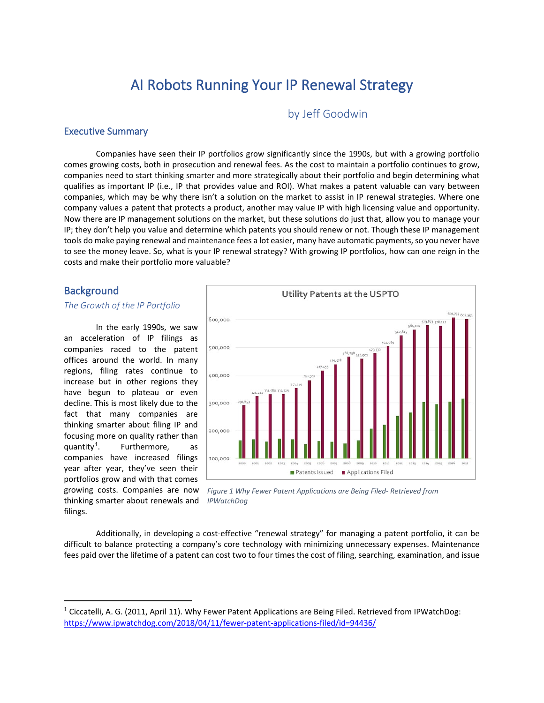# AI Robots Running Your IP Renewal Strategy

by Jeff Goodwin

### Executive Summary

Companies have seen their IP portfolios grow significantly since the 1990s, but with a growing portfolio comes growing costs, both in prosecution and renewal fees. As the cost to maintain a portfolio continues to grow, companies need to start thinking smarter and more strategically about their portfolio and begin determining what qualifies as important IP (i.e., IP that provides value and ROI). What makes a patent valuable can vary between companies, which may be why there isn't a solution on the market to assist in IP renewal strategies. Where one company values a patent that protects a product, another may value IP with high licensing value and opportunity. Now there are IP management solutions on the market, but these solutions do just that, allow you to manage your IP; they don't help you value and determine which patents you should renew or not. Though these IP management tools do make paying renewal and maintenance fees a lot easier, many have automatic payments, so you never have to see the money leave. So, what is your IP renewal strategy? With growing IP portfolios, how can one reign in the costs and make their portfolio more valuable?

### **Background**

### *The Growth of the IP Portfolio*

In the early 1990s, we saw an acceleration of IP filings as companies raced to the patent offices around the world. In many regions, filing rates continue to increase but in other regions they have begun to plateau or even decline. This is most likely due to the fact that many companies are thinking smarter about filing IP and focusing more on quality rather than quantity<sup>[1](#page-0-0)</sup>. Furthermore, as companies have increased filings year after year, they've seen their portfolios grow and with that comes growing costs. Companies are now thinking smarter about renewals and filings.



*Figure 1 Why Fewer Patent Applications are Being Filed- Retrieved from IPWatchDog*

Additionally, in developing a cost-effective "renewal strategy" for managing a patent portfolio, it can be difficult to balance protecting a company's core technology with minimizing unnecessary expenses. Maintenance fees paid over the lifetime of a patent can cost two to four times the cost of filing, searching, examination, and issue

<span id="page-0-0"></span><sup>&</sup>lt;sup>1</sup> Ciccatelli, A. G. (2011, April 11). Why Fewer Patent Applications are Being Filed. Retrieved from IPWatchDog: <https://www.ipwatchdog.com/2018/04/11/fewer-patent-applications-filed/id=94436/>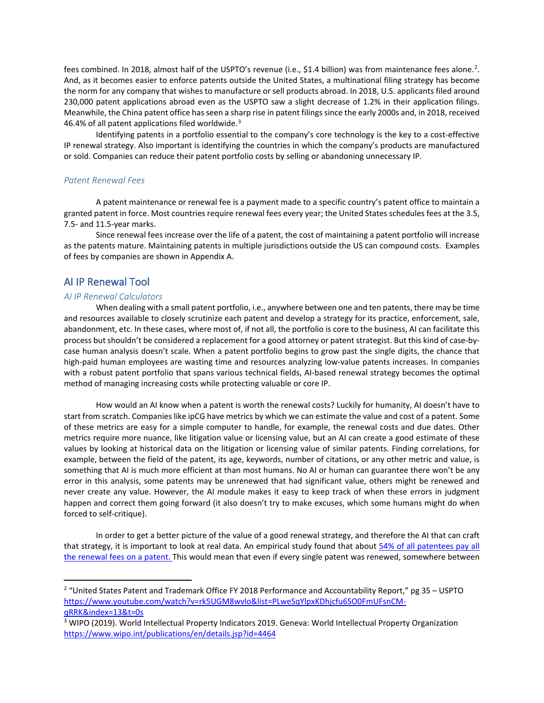fees combined. In [2](#page-1-0)018, almost half of the USPTO's revenue (i.e., \$1.4 billion) was from maintenance fees alone.<sup>2</sup>. And, as it becomes easier to enforce patents outside the United States, a multinational filing strategy has become the norm for any company that wishes to manufacture or sell products abroad. In 2018, U.S. applicants filed around 230,000 patent applications abroad even as the USPTO saw a slight decrease of 1.2% in their application filings. Meanwhile, the China patent office has seen a sharp rise in patent filings since the early 2000s and, in 2018, received 46.4% of all patent applications filed worldwide.<sup>[3](#page-1-1)</sup>

Identifying patents in a portfolio essential to the company's core technology is the key to a cost-effective IP renewal strategy. Also important is identifying the countries in which the company's products are manufactured or sold. Companies can reduce their patent portfolio costs by selling or abandoning unnecessary IP.

### *Patent Renewal Fees*

A patent maintenance or renewal fee is a payment made to a specific country's patent office to maintain a granted patent in force. Most countries require renewal fees every year; the United States schedules fees at the 3.5, 7.5- and 11.5-year marks.

Since renewal fees increase over the life of a patent, the cost of maintaining a patent portfolio will increase as the patents mature. Maintaining patents in multiple jurisdictions outside the US can compound costs. Examples of fees by companies are shown in Appendix A.

# AI IP Renewal Tool

### *AI IP Renewal Calculators*

When dealing with a small patent portfolio, i.e., anywhere between one and ten patents, there may be time and resources available to closely scrutinize each patent and develop a strategy for its practice, enforcement, sale, abandonment, etc. In these cases, where most of, if not all, the portfolio is core to the business, AI can facilitate this process but shouldn't be considered a replacement for a good attorney or patent strategist. But this kind of case-bycase human analysis doesn't scale. When a patent portfolio begins to grow past the single digits, the chance that high-paid human employees are wasting time and resources analyzing low-value patents increases. In companies with a robust patent portfolio that spans various technical fields, AI-based renewal strategy becomes the optimal method of managing increasing costs while protecting valuable or core IP.

How would an AI know when a patent is worth the renewal costs? Luckily for humanity, AI doesn't have to start from scratch. Companies like ipCG have metrics by which we can estimate the value and cost of a patent. Some of these metrics are easy for a simple computer to handle, for example, the renewal costs and due dates. Other metrics require more nuance, like litigation value or licensing value, but an AI can create a good estimate of these values by looking at historical data on the litigation or licensing value of similar patents. Finding correlations, for example, between the field of the patent, its age, keywords, number of citations, or any other metric and value, is something that AI is much more efficient at than most humans. No AI or human can guarantee there won't be any error in this analysis, some patents may be unrenewed that had significant value, others might be renewed and never create any value. However, the AI module makes it easy to keep track of when these errors in judgment happen and correct them going forward (it also doesn't try to make excuses, which some humans might do when forced to self-critique).

In order to get a better picture of the value of a good renewal strategy, and therefore the AI that can craft that strategy, it is important to look at real data. An empirical study found that about 54% of all patentees pay all [the renewal fees on a patent.](https://scholarship.law.berkeley.edu/cgi/viewcontent.cgi?article=1586&context=btlj) This would mean that even if every single patent was renewed, somewhere between

<span id="page-1-0"></span><sup>&</sup>lt;sup>2</sup> "United States Patent and Trademark Office FY 2018 Performance and Accountability Report," pg 35 – USPTO [https://www.youtube.com/watch?v=rk5UGM8wvlo&list=PLweSqYlpxKDhjcfu6SO0FmUFsnCM](https://www.youtube.com/watch?v=rk5UGM8wvlo&list=PLweSqYlpxKDhjcfu6SO0FmUFsnCM-qRRK&index=13&t=0s)[qRRK&index=13&t=0s](https://www.youtube.com/watch?v=rk5UGM8wvlo&list=PLweSqYlpxKDhjcfu6SO0FmUFsnCM-qRRK&index=13&t=0s)

<span id="page-1-1"></span><sup>3</sup> WIPO (2019). World Intellectual Property Indicators 2019. Geneva: World Intellectual Property Organization <https://www.wipo.int/publications/en/details.jsp?id=4464>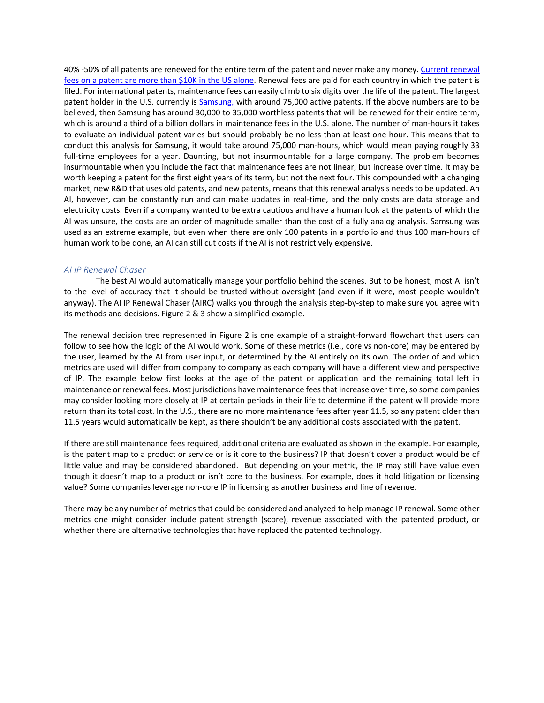40% -50% of all patents are renewed for the entire term of the patent and never make any money[. Current renewal](https://www.uspto.gov/learning-and-resources/fees-and-payment/uspto-fee-schedule#Patent%20Maintenance%20Fee)  [fees on a patent are more than \\$10K in the US alone.](https://www.uspto.gov/learning-and-resources/fees-and-payment/uspto-fee-schedule#Patent%20Maintenance%20Fee) Renewal fees are paid for each country in which the patent is filed. For international patents, maintenance fees can easily climb to six digits over the life of the patent. The largest patent holder in the U.S. currently is [Samsung,](https://www.iam-media.com/patents/samsung-owns-biggest-us-patent-portfolio-beating-ibm-second-place-new-research-reveals) with around 75,000 active patents. If the above numbers are to be believed, then Samsung has around 30,000 to 35,000 worthless patents that will be renewed for their entire term, which is around a third of a billion dollars in maintenance fees in the U.S. alone. The number of man-hours it takes to evaluate an individual patent varies but should probably be no less than at least one hour. This means that to conduct this analysis for Samsung, it would take around 75,000 man-hours, which would mean paying roughly 33 full-time employees for a year. Daunting, but not insurmountable for a large company. The problem becomes insurmountable when you include the fact that maintenance fees are not linear, but increase over time. It may be worth keeping a patent for the first eight years of its term, but not the next four. This compounded with a changing market, new R&D that uses old patents, and new patents, means that this renewal analysis needs to be updated. An AI, however, can be constantly run and can make updates in real-time, and the only costs are data storage and electricity costs. Even if a company wanted to be extra cautious and have a human look at the patents of which the AI was unsure, the costs are an order of magnitude smaller than the cost of a fully analog analysis. Samsung was used as an extreme example, but even when there are only 100 patents in a portfolio and thus 100 man-hours of human work to be done, an AI can still cut costs if the AI is not restrictively expensive.

#### *AI IP Renewal Chaser*

The best AI would automatically manage your portfolio behind the scenes. But to be honest, most AI isn't to the level of accuracy that it should be trusted without oversight (and even if it were, most people wouldn't anyway). The AI IP Renewal Chaser (AIRC) walks you through the analysis step-by-step to make sure you agree with its methods and decisions. Figure 2 & 3 show a simplified example.

The renewal decision tree represented in Figure 2 is one example of a straight-forward flowchart that users can follow to see how the logic of the AI would work. Some of these metrics (i.e., core vs non-core) may be entered by the user, learned by the AI from user input, or determined by the AI entirely on its own. The order of and which metrics are used will differ from company to company as each company will have a different view and perspective of IP. The example below first looks at the age of the patent or application and the remaining total left in maintenance or renewal fees. Most jurisdictions have maintenance fees that increase over time, so some companies may consider looking more closely at IP at certain periods in their life to determine if the patent will provide more return than its total cost. In the U.S., there are no more maintenance fees after year 11.5, so any patent older than 11.5 years would automatically be kept, as there shouldn't be any additional costs associated with the patent.

If there are still maintenance fees required, additional criteria are evaluated as shown in the example. For example, is the patent map to a product or service or is it core to the business? IP that doesn't cover a product would be of little value and may be considered abandoned. But depending on your metric, the IP may still have value even though it doesn't map to a product or isn't core to the business. For example, does it hold litigation or licensing value? Some companies leverage non-core IP in licensing as another business and line of revenue.

There may be any number of metrics that could be considered and analyzed to help manage IP renewal. Some other metrics one might consider include patent strength (score), revenue associated with the patented product, or whether there are alternative technologies that have replaced the patented technology.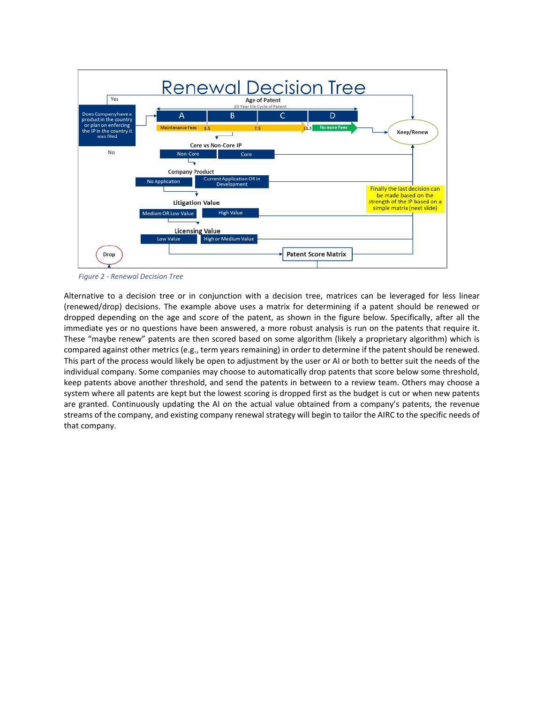

*Figure 2 - Renewal Decision Tree*

Alternative to a decision tree or in conjunction with a decision tree, matrices can be leveraged for less linear (renewed/drop) decisions. The example above uses a matrix for determining if a patent should be renewed or dropped depending on the age and score of the patent, as shown in the figure below. Specifically, after all the immediate yes or no questions have been answered, a more robust analysis is run on the patents that require it. These "maybe renew" patents are then scored based on some algorithm (likely a proprietary algorithm) which is compared against other metrics (e.g., term years remaining) in order to determine if the patent should be renewed. This part of the process would likely be open to adjustment by the user or AI or both to better suit the needs of the individual company. Some companies may choose to automatically drop patents that score below some threshold, keep patents above another threshold, and send the patents in between to a review team. Others may choose a system where all patents are kept but the lowest scoring is dropped first as the budget is cut or when new patents are granted. Continuously updating the AI on the actual value obtained from a company's patents, the revenue streams of the company, and existing company renewal strategy will begin to tailor the AIRC to the specific needs of that company.